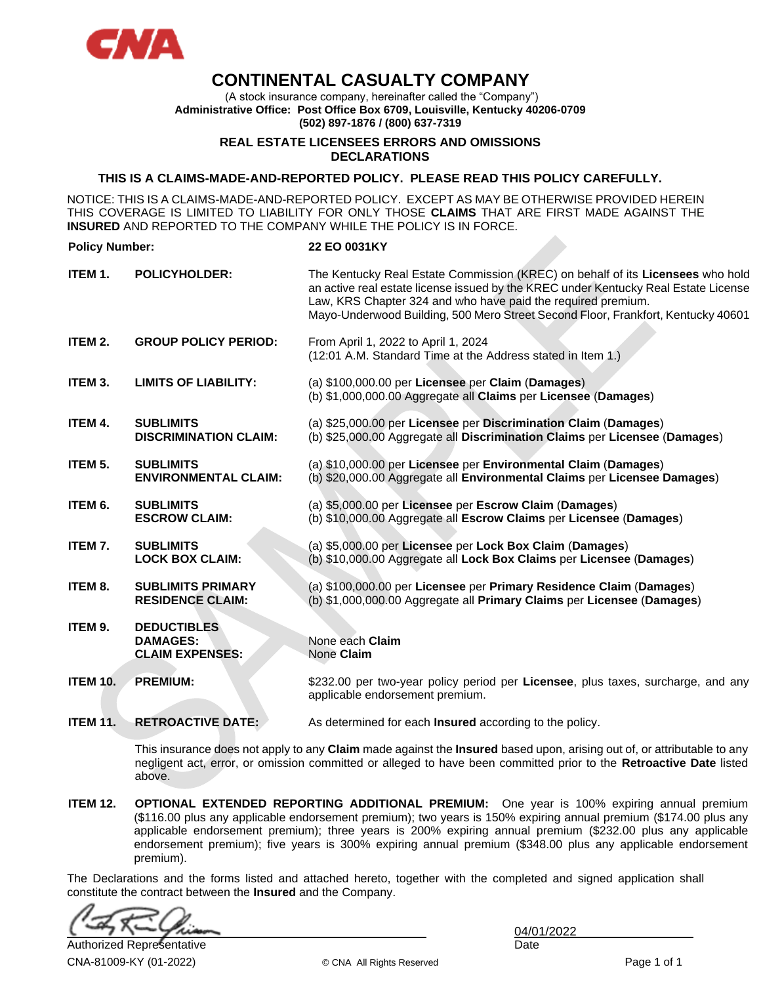

# **CONTINENTAL CASUALTY COMPANY**

(A stock insurance company, hereinafter called the "Company") **Administrative Office: Post Office Box 6709, Louisville, Kentucky 40206-0709 (502) 897-1876 / (800) 637-7319**

# **REAL ESTATE LICENSEES ERRORS AND OMISSIONS DECLARATIONS**

## **THIS IS A CLAIMS-MADE-AND-REPORTED POLICY. PLEASE READ THIS POLICY CAREFULLY.**

NOTICE: THIS IS A CLAIMS-MADE-AND-REPORTED POLICY. EXCEPT AS MAY BE OTHERWISE PROVIDED HEREIN THIS COVERAGE IS LIMITED TO LIABILITY FOR ONLY THOSE **CLAIMS** THAT ARE FIRST MADE AGAINST THE **INSURED** AND REPORTED TO THE COMPANY WHILE THE POLICY IS IN FORCE.

#### **Policy Number: 22 EO 0031KY**

**ITEM 1. POLICYHOLDER:** The Kentucky Real Estate Commission (KREC) on behalf of its **Licensees** who hold an active real estate license issued by the KREC under Kentucky Real Estate License Law, KRS Chapter 324 and who have paid the required premium. Mayo-Underwood Building, 500 Mero Street Second Floor, Frankfort, Kentucky 40601 **ITEM 2. GROUP POLICY PERIOD:** From April 1, 2022 to April 1, 2024 (12:01 A.M. Standard Time at the Address stated in Item 1.)

**ITEM 3. LIMITS OF LIABILITY:** (a) \$100,000.00 per **Licensee** per **Claim** (**Damages**) (b) \$1,000,000.00 Aggregate all **Claims** per **Licensee** (**Damages**)

- **ITEM 4. SUBLIMITS** (a) \$25,000.00 per **Licensee** per **Discrimination Claim** (**Damages**) **DISCRIMINATION CLAIM:** (b) \$25,000.00 Aggregate all **Discrimination Claims** per **Licensee** (**Damages**)
- **ITEM 5. SUBLIMITS** (a) \$10,000.00 per **Licensee** per **Environmental Claim** (**Damages**)
- **ITEM 6. SUBLIMITS** (a) \$5,000.00 per **Licensee** per **Escrow Claim** (**Damages**) **ESCROW CLAIM:** (b) \$10,000.00 Aggregate all **Escrow Claims** per **Licensee** (**Damages**)
- **ITEM 7. SUBLIMITS** (a) \$5,000.00 per **Licensee** per **Lock Box Claim** (**Damages**) **LOCK BOX CLAIM:** (b) \$10,000.00 Aggregate all **Lock Box Claims** per **Licensee** (**Damages**)
- **ITEM 8. SUBLIMITS PRIMARY** (a) \$100,000.00 per **Licensee** per **Primary Residence Claim** (**Damages**) **RESIDENCE CLAIM:** (b) \$1,000,000.00 Aggregate all **Primary Claims** per **Licensee** (**Damages**)
- **ITEM 9. DEDUCTIBLES DAMAGES:** None each **Claim CLAIM EXPENSES:** None Claim
- **ITEM 10. PREMIUM:** \$232.00 per two-year policy period per **Licensee**, plus taxes, surcharge, and any applicable endorsement premium.
- **ITEM 11. RETROACTIVE DATE:** As determined for each **Insured** according to the policy.

This insurance does not apply to any **Claim** made against the **Insured** based upon, arising out of, or attributable to any negligent act, error, or omission committed or alleged to have been committed prior to the **Retroactive Date** listed above.

**ITEM 12. OPTIONAL EXTENDED REPORTING ADDITIONAL PREMIUM:** One year is 100% expiring annual premium (\$116.00 plus any applicable endorsement premium); two years is 150% expiring annual premium (\$174.00 plus any applicable endorsement premium); three years is 200% expiring annual premium (\$232.00 plus any applicable endorsement premium); five years is 300% expiring annual premium (\$348.00 plus any applicable endorsement premium).

The Declarations and the forms listed and attached hereto, together with the completed and signed application shall constitute the contract between the **Insured** and the Company.

 $\frac{1}{\sqrt{1-\frac{1}{\sqrt{1-\frac{1}{\sqrt{1-\frac{1}{\sqrt{1-\frac{1}{\sqrt{1-\frac{1}{\sqrt{1-\frac{1}{\sqrt{1-\frac{1}{\sqrt{1-\frac{1}{\sqrt{1-\frac{1}{\sqrt{1-\frac{1}{\sqrt{1-\frac{1}{\sqrt{1-\frac{1}{\sqrt{1-\frac{1}{\sqrt{1-\frac{1}{\sqrt{1-\frac{1}{\sqrt{1-\frac{1}{\sqrt{1-\frac{1}{\sqrt{1-\frac{1}{\sqrt{1-\frac{1}{\sqrt{1-\frac{1}{\sqrt{1-\frac{1}{\sqrt{1-\frac{1}{\sqrt{1-\frac{1}{\sqrt{1-\frac{1$ 

CNA-81009-KY (01-2022) © CNA All Rights Reserved Page 1 of 1 Authorized Representative **Date** Date **Date** Date **Date** Date **Date** 

**ENVIRONMENTAL CLAIM:** (b) \$20,000.00 Aggregate all **Environmental Claims** per **Licensee Damages**)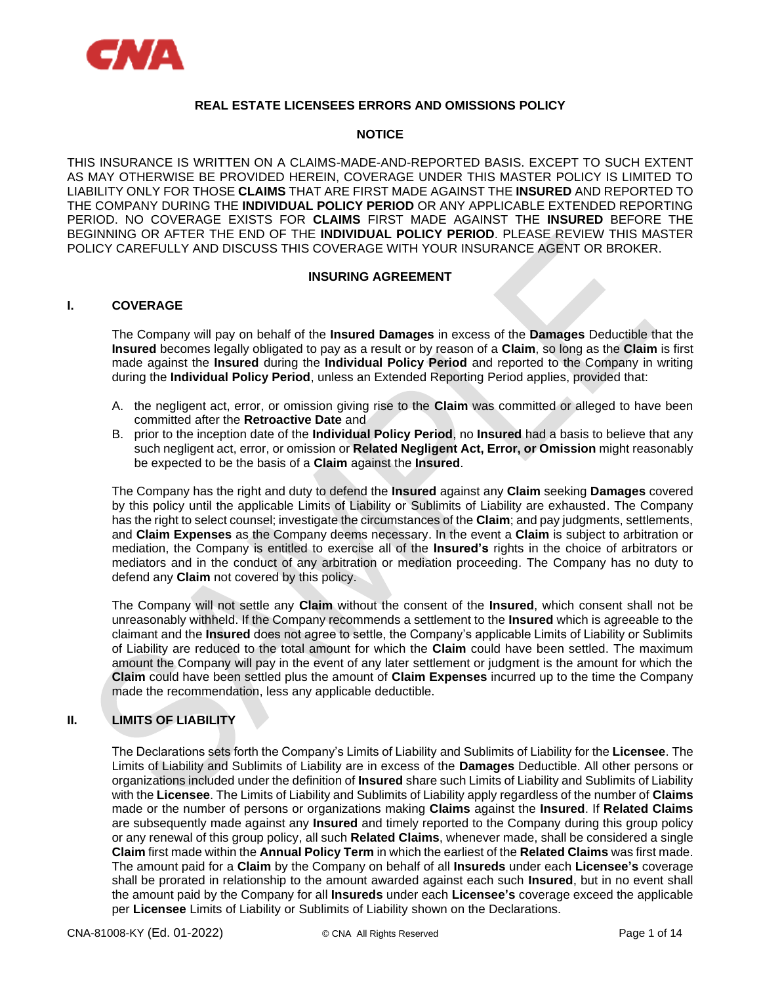

# **REAL ESTATE LICENSEES ERRORS AND OMISSIONS POLICY**

# **NOTICE**

THIS INSURANCE IS WRITTEN ON A CLAIMS-MADE-AND-REPORTED BASIS. EXCEPT TO SUCH EXTENT AS MAY OTHERWISE BE PROVIDED HEREIN, COVERAGE UNDER THIS MASTER POLICY IS LIMITED TO LIABILITY ONLY FOR THOSE **CLAIMS** THAT ARE FIRST MADE AGAINST THE **INSURED** AND REPORTED TO THE COMPANY DURING THE **INDIVIDUAL POLICY PERIOD** OR ANY APPLICABLE EXTENDED REPORTING PERIOD. NO COVERAGE EXISTS FOR **CLAIMS** FIRST MADE AGAINST THE **INSURED** BEFORE THE BEGINNING OR AFTER THE END OF THE **INDIVIDUAL POLICY PERIOD**. PLEASE REVIEW THIS MASTER POLICY CAREFULLY AND DISCUSS THIS COVERAGE WITH YOUR INSURANCE AGENT OR BROKER.

#### **INSURING AGREEMENT**

#### **I. COVERAGE**

The Company will pay on behalf of the **Insured Damages** in excess of the **Damages** Deductible that the **Insured** becomes legally obligated to pay as a result or by reason of a **Claim**, so long as the **Claim** is first made against the **Insured** during the **Individual Policy Period** and reported to the Company in writing during the **Individual Policy Period**, unless an Extended Reporting Period applies, provided that:

- A. the negligent act, error, or omission giving rise to the **Claim** was committed or alleged to have been committed after the **Retroactive Date** and
- B. prior to the inception date of the **Individual Policy Period**, no **Insured** had a basis to believe that any such negligent act, error, or omission or **Related Negligent Act, Error, or Omission** might reasonably be expected to be the basis of a **Claim** against the **Insured**.

The Company has the right and duty to defend the **Insured** against any **Claim** seeking **Damages** covered by this policy until the applicable Limits of Liability or Sublimits of Liability are exhausted. The Company has the right to select counsel; investigate the circumstances of the **Claim**; and pay judgments, settlements, and **Claim Expenses** as the Company deems necessary. In the event a **Claim** is subject to arbitration or mediation, the Company is entitled to exercise all of the **Insured's** rights in the choice of arbitrators or mediators and in the conduct of any arbitration or mediation proceeding. The Company has no duty to defend any **Claim** not covered by this policy.

The Company will not settle any **Claim** without the consent of the **Insured**, which consent shall not be unreasonably withheld. If the Company recommends a settlement to the **Insured** which is agreeable to the claimant and the **Insured** does not agree to settle, the Company's applicable Limits of Liability or Sublimits of Liability are reduced to the total amount for which the **Claim** could have been settled. The maximum amount the Company will pay in the event of any later settlement or judgment is the amount for which the **Claim** could have been settled plus the amount of **Claim Expenses** incurred up to the time the Company made the recommendation, less any applicable deductible.

# **II. LIMITS OF LIABILITY**

The Declarations sets forth the Company's Limits of Liability and Sublimits of Liability for the **Licensee**. The Limits of Liability and Sublimits of Liability are in excess of the **Damages** Deductible. All other persons or organizations included under the definition of **Insured** share such Limits of Liability and Sublimits of Liability with the **Licensee**. The Limits of Liability and Sublimits of Liability apply regardless of the number of **Claims** made or the number of persons or organizations making **Claims** against the **Insured**. If **Related Claims**  are subsequently made against any **Insured** and timely reported to the Company during this group policy or any renewal of this group policy, all such **Related Claims**, whenever made, shall be considered a single **Claim** first made within the **Annual Policy Term** in which the earliest of the **Related Claims** was first made. The amount paid for a **Claim** by the Company on behalf of all **Insureds** under each **Licensee's** coverage shall be prorated in relationship to the amount awarded against each such **Insured**, but in no event shall the amount paid by the Company for all **Insureds** under each **Licensee's** coverage exceed the applicable per **Licensee** Limits of Liability or Sublimits of Liability shown on the Declarations.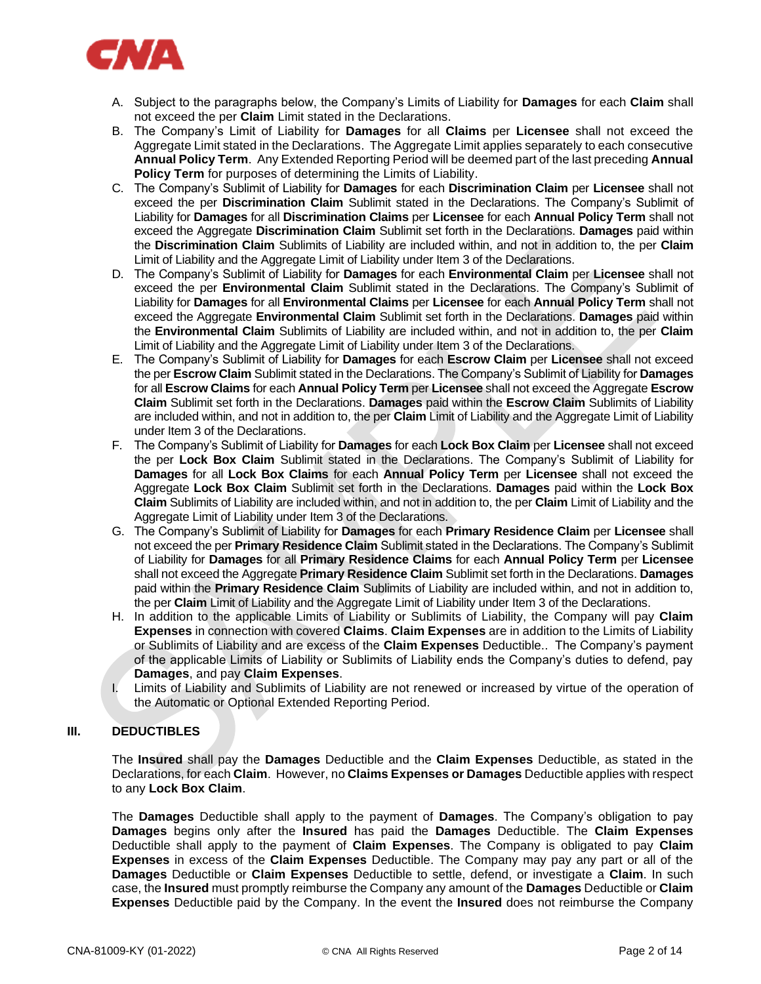

- A. Subject to the paragraphs below, the Company's Limits of Liability for **Damages** for each **Claim** shall not exceed the per **Claim** Limit stated in the Declarations.
- B. The Company's Limit of Liability for **Damages** for all **Claims** per **Licensee** shall not exceed the Aggregate Limit stated in the Declarations. The Aggregate Limit applies separately to each consecutive **Annual Policy Term**. Any Extended Reporting Period will be deemed part of the last preceding **Annual Policy Term** for purposes of determining the Limits of Liability.
- C. The Company's Sublimit of Liability for **Damages** for each **Discrimination Claim** per **Licensee** shall not exceed the per **Discrimination Claim** Sublimit stated in the Declarations. The Company's Sublimit of Liability for **Damages** for all **Discrimination Claims** per **Licensee** for each **Annual Policy Term** shall not exceed the Aggregate **Discrimination Claim** Sublimit set forth in the Declarations. **Damages** paid within the **Discrimination Claim** Sublimits of Liability are included within, and not in addition to, the per **Claim** Limit of Liability and the Aggregate Limit of Liability under Item 3 of the Declarations.
- D. The Company's Sublimit of Liability for **Damages** for each **Environmental Claim** per **Licensee** shall not exceed the per **Environmental Claim** Sublimit stated in the Declarations. The Company's Sublimit of Liability for **Damages** for all **Environmental Claims** per **Licensee** for each **Annual Policy Term** shall not exceed the Aggregate **Environmental Claim** Sublimit set forth in the Declarations. **Damages** paid within the **Environmental Claim** Sublimits of Liability are included within, and not in addition to, the per **Claim** Limit of Liability and the Aggregate Limit of Liability under Item 3 of the Declarations.
- E. The Company's Sublimit of Liability for **Damages** for each **Escrow Claim** per **Licensee** shall not exceed the per **Escrow Claim** Sublimit stated in the Declarations. The Company's Sublimit of Liability for **Damages**  for all **Escrow Claims** for each **Annual Policy Term** per **Licensee** shall not exceed the Aggregate **Escrow Claim** Sublimit set forth in the Declarations. **Damages** paid within the **Escrow Claim** Sublimits of Liability are included within, and not in addition to, the per **Claim** Limit of Liability and the Aggregate Limit of Liability under Item 3 of the Declarations.
- F. The Company's Sublimit of Liability for **Damages** for each **Lock Box Claim** per **Licensee** shall not exceed the per **Lock Box Claim** Sublimit stated in the Declarations. The Company's Sublimit of Liability for **Damages** for all **Lock Box Claims** for each **Annual Policy Term** per **Licensee** shall not exceed the Aggregate **Lock Box Claim** Sublimit set forth in the Declarations. **Damages** paid within the **Lock Box Claim** Sublimits of Liability are included within, and not in addition to, the per **Claim** Limit of Liability and the Aggregate Limit of Liability under Item 3 of the Declarations.
- G. The Company's Sublimit of Liability for **Damages** for each **Primary Residence Claim** per **Licensee** shall not exceed the per **Primary Residence Claim** Sublimit stated in the Declarations. The Company's Sublimit of Liability for **Damages** for all **Primary Residence Claims** for each **Annual Policy Term** per **Licensee**  shall not exceed the Aggregate **Primary Residence Claim** Sublimit set forth in the Declarations. **Damages** paid within the **Primary Residence Claim** Sublimits of Liability are included within, and not in addition to, the per **Claim** Limit of Liability and the Aggregate Limit of Liability under Item 3 of the Declarations.
- H. In addition to the applicable Limits of Liability or Sublimits of Liability, the Company will pay **Claim Expenses** in connection with covered **Claims**. **Claim Expenses** are in addition to the Limits of Liability or Sublimits of Liability and are excess of the **Claim Expenses** Deductible.. The Company's payment of the applicable Limits of Liability or Sublimits of Liability ends the Company's duties to defend, pay **Damages**, and pay **Claim Expenses**.
- I. Limits of Liability and Sublimits of Liability are not renewed or increased by virtue of the operation of the Automatic or Optional Extended Reporting Period.

# **III. DEDUCTIBLES**

The **Insured** shall pay the **Damages** Deductible and the **Claim Expenses** Deductible, as stated in the Declarations, for each **Claim**. However, no **Claims Expenses or Damages** Deductible applies with respect to any **Lock Box Claim**.

The **Damages** Deductible shall apply to the payment of **Damages**. The Company's obligation to pay **Damages** begins only after the **Insured** has paid the **Damages** Deductible. The **Claim Expenses** Deductible shall apply to the payment of **Claim Expenses**. The Company is obligated to pay **Claim Expenses** in excess of the **Claim Expenses** Deductible. The Company may pay any part or all of the **Damages** Deductible or **Claim Expenses** Deductible to settle, defend, or investigate a **Claim**. In such case, the **Insured** must promptly reimburse the Company any amount of the **Damages** Deductible or **Claim Expenses** Deductible paid by the Company. In the event the **Insured** does not reimburse the Company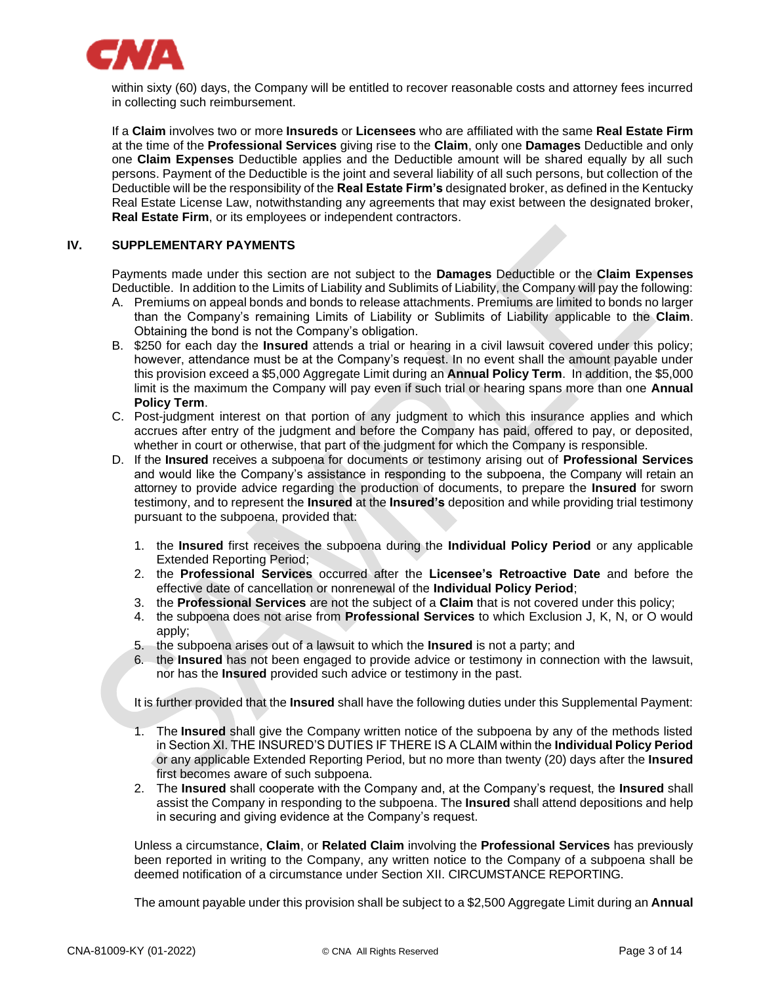

within sixty (60) days, the Company will be entitled to recover reasonable costs and attorney fees incurred in collecting such reimbursement.

If a **Claim** involves two or more **Insureds** or **Licensees** who are affiliated with the same **Real Estate Firm** at the time of the **Professional Services** giving rise to the **Claim**, only one **Damages** Deductible and only one **Claim Expenses** Deductible applies and the Deductible amount will be shared equally by all such persons. Payment of the Deductible is the joint and several liability of all such persons, but collection of the Deductible will be the responsibility of the **Real Estate Firm's** designated broker, as defined in the Kentucky Real Estate License Law, notwithstanding any agreements that may exist between the designated broker, **Real Estate Firm**, or its employees or independent contractors.

# **IV. SUPPLEMENTARY PAYMENTS**

Payments made under this section are not subject to the **Damages** Deductible or the **Claim Expenses** Deductible. In addition to the Limits of Liability and Sublimits of Liability, the Company will pay the following:

- A. Premiums on appeal bonds and bonds to release attachments. Premiums are limited to bonds no larger than the Company's remaining Limits of Liability or Sublimits of Liability applicable to the **Claim**. Obtaining the bond is not the Company's obligation.
- B. \$250 for each day the **Insured** attends a trial or hearing in a civil lawsuit covered under this policy; however, attendance must be at the Company's request. In no event shall the amount payable under this provision exceed a \$5,000 Aggregate Limit during an **Annual Policy Term**. In addition, the \$5,000 limit is the maximum the Company will pay even if such trial or hearing spans more than one **Annual Policy Term**.
- C. Post-judgment interest on that portion of any judgment to which this insurance applies and which accrues after entry of the judgment and before the Company has paid, offered to pay, or deposited, whether in court or otherwise, that part of the judgment for which the Company is responsible.
- D. If the **Insured** receives a subpoena for documents or testimony arising out of **Professional Services** and would like the Company's assistance in responding to the subpoena, the Company will retain an attorney to provide advice regarding the production of documents, to prepare the **Insured** for sworn testimony, and to represent the **Insured** at the **Insured's** deposition and while providing trial testimony pursuant to the subpoena, provided that:
	- 1. the **Insured** first receives the subpoena during the **Individual Policy Period** or any applicable Extended Reporting Period;
	- 2. the **Professional Services** occurred after the **Licensee's Retroactive Date** and before the effective date of cancellation or nonrenewal of the **Individual Policy Period**;
	- 3. the **Professional Services** are not the subject of a **Claim** that is not covered under this policy;
	- 4. the subpoena does not arise from **Professional Services** to which Exclusion J, K, N, or O would apply;
	- 5. the subpoena arises out of a lawsuit to which the **Insured** is not a party; and
	- 6. the **Insured** has not been engaged to provide advice or testimony in connection with the lawsuit, nor has the **Insured** provided such advice or testimony in the past.

It is further provided that the **Insured** shall have the following duties under this Supplemental Payment:

- 1. The **Insured** shall give the Company written notice of the subpoena by any of the methods listed in Section XI. THE INSURED'S DUTIES IF THERE IS A CLAIM within the **Individual Policy Period** or any applicable Extended Reporting Period, but no more than twenty (20) days after the **Insured**  first becomes aware of such subpoena.
- 2. The **Insured** shall cooperate with the Company and, at the Company's request, the **Insured** shall assist the Company in responding to the subpoena. The **Insured** shall attend depositions and help in securing and giving evidence at the Company's request.

Unless a circumstance, **Claim**, or **Related Claim** involving the **Professional Services** has previously been reported in writing to the Company, any written notice to the Company of a subpoena shall be deemed notification of a circumstance under Section XII. CIRCUMSTANCE REPORTING.

The amount payable under this provision shall be subject to a \$2,500 Aggregate Limit during an **Annual**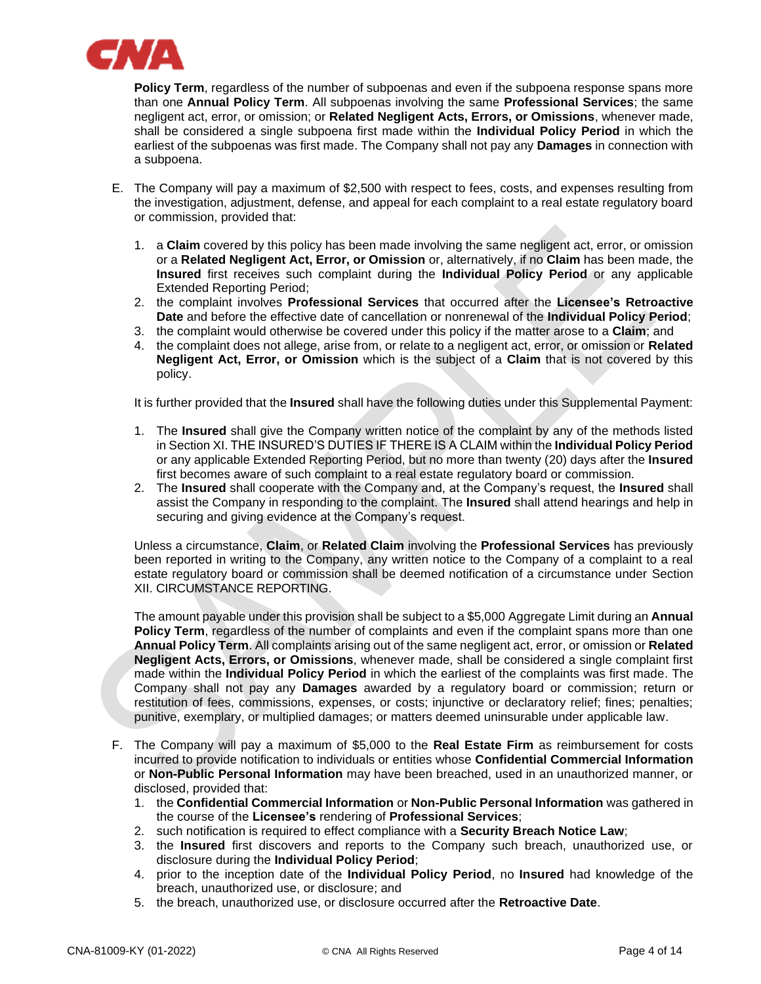

**Policy Term**, regardless of the number of subpoenas and even if the subpoena response spans more than one **Annual Policy Term**. All subpoenas involving the same **Professional Services**; the same negligent act, error, or omission; or **Related Negligent Acts, Errors, or Omissions**, whenever made, shall be considered a single subpoena first made within the **Individual Policy Period** in which the earliest of the subpoenas was first made. The Company shall not pay any **Damages** in connection with a subpoena.

- E. The Company will pay a maximum of \$2,500 with respect to fees, costs, and expenses resulting from the investigation, adjustment, defense, and appeal for each complaint to a real estate regulatory board or commission, provided that:
	- 1. a **Claim** covered by this policy has been made involving the same negligent act, error, or omission or a **Related Negligent Act, Error, or Omission** or, alternatively, if no **Claim** has been made, the **Insured** first receives such complaint during the **Individual Policy Period** or any applicable Extended Reporting Period;
	- 2. the complaint involves **Professional Services** that occurred after the **Licensee's Retroactive Date** and before the effective date of cancellation or nonrenewal of the **Individual Policy Period**;
	- 3. the complaint would otherwise be covered under this policy if the matter arose to a **Claim**; and
	- 4. the complaint does not allege, arise from, or relate to a negligent act, error, or omission or **Related Negligent Act, Error, or Omission** which is the subject of a **Claim** that is not covered by this policy.

It is further provided that the **Insured** shall have the following duties under this Supplemental Payment:

- 1. The **Insured** shall give the Company written notice of the complaint by any of the methods listed in Section XI. THE INSURED'S DUTIES IF THERE IS A CLAIM within the **Individual Policy Period** or any applicable Extended Reporting Period, but no more than twenty (20) days after the **Insured**  first becomes aware of such complaint to a real estate regulatory board or commission.
- 2. The **Insured** shall cooperate with the Company and, at the Company's request, the **Insured** shall assist the Company in responding to the complaint. The **Insured** shall attend hearings and help in securing and giving evidence at the Company's request.

Unless a circumstance, **Claim**, or **Related Claim** involving the **Professional Services** has previously been reported in writing to the Company, any written notice to the Company of a complaint to a real estate regulatory board or commission shall be deemed notification of a circumstance under Section XII. CIRCUMSTANCE REPORTING.

The amount payable under this provision shall be subject to a \$5,000 Aggregate Limit during an **Annual Policy Term**, regardless of the number of complaints and even if the complaint spans more than one **Annual Policy Term**. All complaints arising out of the same negligent act, error, or omission or **Related Negligent Acts, Errors, or Omissions**, whenever made, shall be considered a single complaint first made within the **Individual Policy Period** in which the earliest of the complaints was first made. The Company shall not pay any **Damages** awarded by a regulatory board or commission; return or restitution of fees, commissions, expenses, or costs; injunctive or declaratory relief; fines; penalties; punitive, exemplary, or multiplied damages; or matters deemed uninsurable under applicable law.

- F. The Company will pay a maximum of \$5,000 to the **Real Estate Firm** as reimbursement for costs incurred to provide notification to individuals or entities whose **Confidential Commercial Information**  or **Non-Public Personal Information** may have been breached, used in an unauthorized manner, or disclosed, provided that:
	- 1. the **Confidential Commercial Information** or **Non-Public Personal Information** was gathered in the course of the **Licensee's** rendering of **Professional Services**;
	- 2. such notification is required to effect compliance with a **Security Breach Notice Law**;
	- 3. the **Insured** first discovers and reports to the Company such breach, unauthorized use, or disclosure during the **Individual Policy Period**;
	- 4. prior to the inception date of the **Individual Policy Period**, no **Insured** had knowledge of the breach, unauthorized use, or disclosure; and
	- 5. the breach, unauthorized use, or disclosure occurred after the **Retroactive Date**.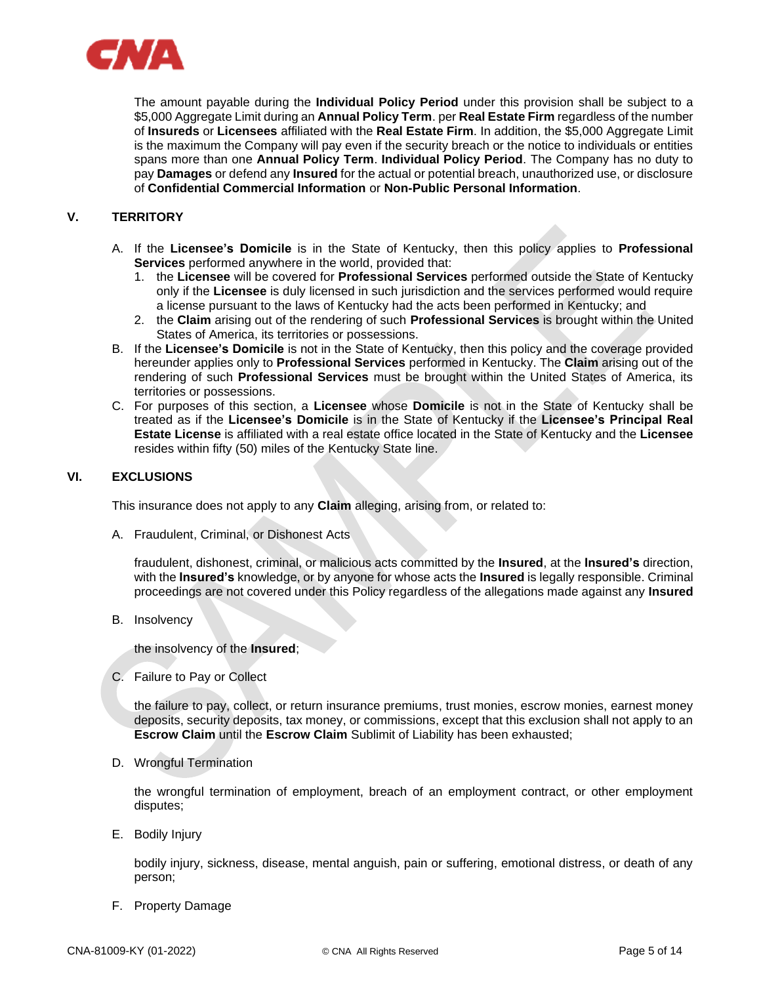

The amount payable during the **Individual Policy Period** under this provision shall be subject to a \$5,000 Aggregate Limit during an **Annual Policy Term**. per **Real Estate Firm** regardless of the number of **Insureds** or **Licensees** affiliated with the **Real Estate Firm**. In addition, the \$5,000 Aggregate Limit is the maximum the Company will pay even if the security breach or the notice to individuals or entities spans more than one **Annual Policy Term**. **Individual Policy Period**. The Company has no duty to pay **Damages** or defend any **Insured** for the actual or potential breach, unauthorized use, or disclosure of **Confidential Commercial Information** or **Non-Public Personal Information**.

# **V. TERRITORY**

- A. If the **Licensee's Domicile** is in the State of Kentucky, then this policy applies to **Professional Services** performed anywhere in the world, provided that:
	- 1. the **Licensee** will be covered for **Professional Services** performed outside the State of Kentucky only if the **Licensee** is duly licensed in such jurisdiction and the services performed would require a license pursuant to the laws of Kentucky had the acts been performed in Kentucky; and
	- 2. the **Claim** arising out of the rendering of such **Professional Services** is brought within the United States of America, its territories or possessions.
- B. If the **Licensee's Domicile** is not in the State of Kentucky, then this policy and the coverage provided hereunder applies only to **Professional Services** performed in Kentucky. The **Claim** arising out of the rendering of such **Professional Services** must be brought within the United States of America, its territories or possessions.
- C. For purposes of this section, a **Licensee** whose **Domicile** is not in the State of Kentucky shall be treated as if the **Licensee's Domicile** is in the State of Kentucky if the **Licensee's Principal Real Estate License** is affiliated with a real estate office located in the State of Kentucky and the **Licensee** resides within fifty (50) miles of the Kentucky State line.

# **VI. EXCLUSIONS**

This insurance does not apply to any **Claim** alleging, arising from, or related to:

A. Fraudulent, Criminal, or Dishonest Acts

fraudulent, dishonest, criminal, or malicious acts committed by the **Insured**, at the **Insured's** direction, with the **Insured's** knowledge, or by anyone for whose acts the **Insured** is legally responsible. Criminal proceedings are not covered under this Policy regardless of the allegations made against any **Insured**

B. Insolvency

the insolvency of the **Insured**;

C. Failure to Pay or Collect

the failure to pay, collect, or return insurance premiums, trust monies, escrow monies, earnest money deposits, security deposits, tax money, or commissions, except that this exclusion shall not apply to an **Escrow Claim** until the **Escrow Claim** Sublimit of Liability has been exhausted;

D. Wrongful Termination

the wrongful termination of employment, breach of an employment contract, or other employment disputes;

E. Bodily Injury

bodily injury, sickness, disease, mental anguish, pain or suffering, emotional distress, or death of any person;

F. Property Damage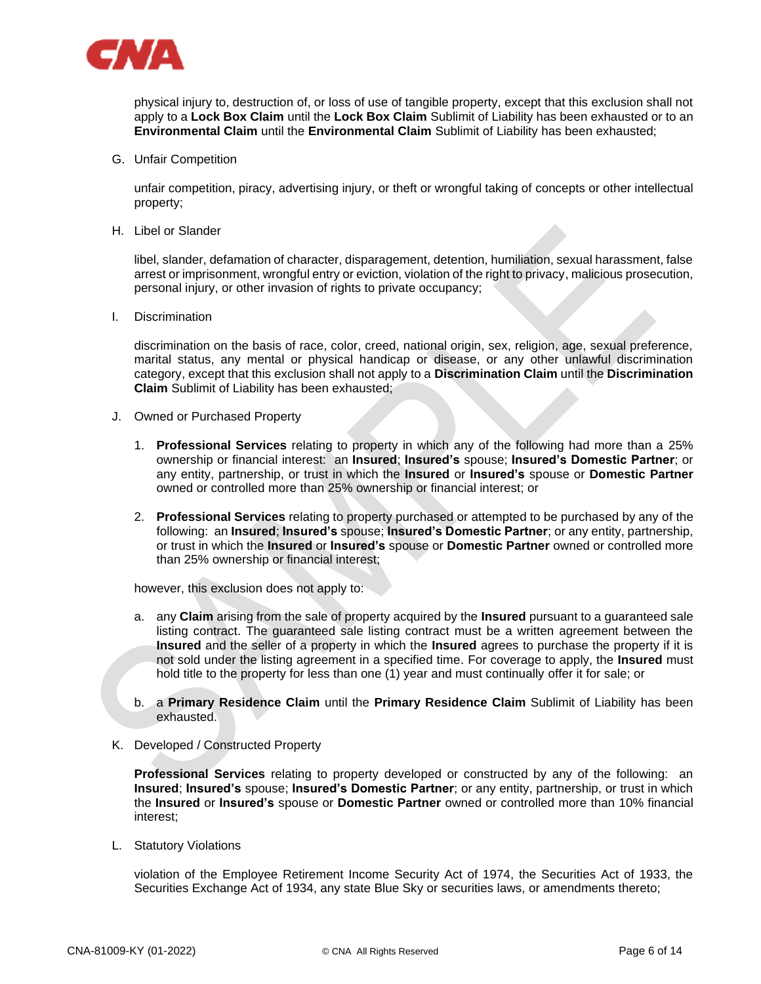

physical injury to, destruction of, or loss of use of tangible property, except that this exclusion shall not apply to a **Lock Box Claim** until the **Lock Box Claim** Sublimit of Liability has been exhausted or to an **Environmental Claim** until the **Environmental Claim** Sublimit of Liability has been exhausted;

G. Unfair Competition

unfair competition, piracy, advertising injury, or theft or wrongful taking of concepts or other intellectual property;

H. Libel or Slander

libel, slander, defamation of character, disparagement, detention, humiliation, sexual harassment, false arrest or imprisonment, wrongful entry or eviction, violation of the right to privacy, malicious prosecution, personal injury, or other invasion of rights to private occupancy;

I. Discrimination

discrimination on the basis of race, color, creed, national origin, sex, religion, age, sexual preference, marital status, any mental or physical handicap or disease, or any other unlawful discrimination category, except that this exclusion shall not apply to a **Discrimination Claim** until the **Discrimination Claim** Sublimit of Liability has been exhausted;

- J. Owned or Purchased Property
	- 1. **Professional Services** relating to property in which any of the following had more than a 25% ownership or financial interest: an **Insured**; **Insured's** spouse; **Insured's Domestic Partner**; or any entity, partnership, or trust in which the **Insured** or **Insured's** spouse or **Domestic Partner** owned or controlled more than 25% ownership or financial interest; or
	- 2. **Professional Services** relating to property purchased or attempted to be purchased by any of the following: an **Insured**; **Insured's** spouse; **Insured's Domestic Partner**; or any entity, partnership, or trust in which the **Insured** or **Insured's** spouse or **Domestic Partner** owned or controlled more than 25% ownership or financial interest;

however, this exclusion does not apply to:

- a. any **Claim** arising from the sale of property acquired by the **Insured** pursuant to a guaranteed sale listing contract. The guaranteed sale listing contract must be a written agreement between the **Insured** and the seller of a property in which the **Insured** agrees to purchase the property if it is not sold under the listing agreement in a specified time. For coverage to apply, the **Insured** must hold title to the property for less than one (1) year and must continually offer it for sale; or
- b. a **Primary Residence Claim** until the **Primary Residence Claim** Sublimit of Liability has been exhausted.
- K. Developed / Constructed Property

**Professional Services** relating to property developed or constructed by any of the following: an **Insured**; **Insured's** spouse; **Insured's Domestic Partner**; or any entity, partnership, or trust in which the **Insured** or **Insured's** spouse or **Domestic Partner** owned or controlled more than 10% financial interest;

L. Statutory Violations

violation of the Employee Retirement Income Security Act of 1974, the Securities Act of 1933, the Securities Exchange Act of 1934, any state Blue Sky or securities laws, or amendments thereto;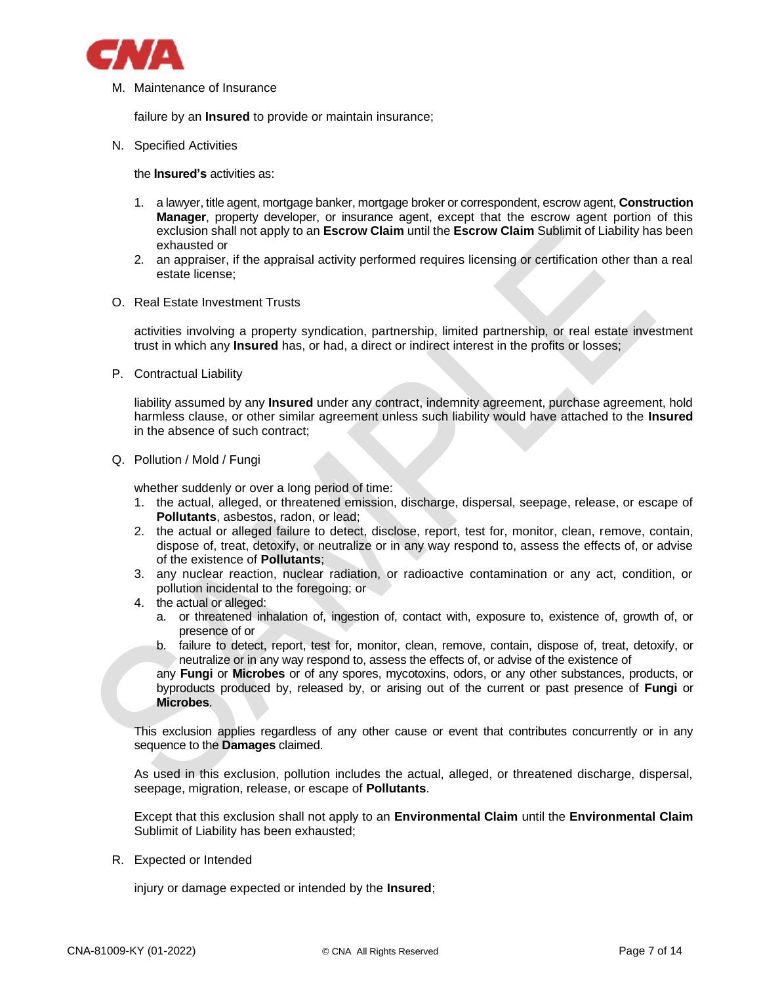

M. Maintenance of Insurance

failure by an **Insured** to provide or maintain insurance;

N. Specified Activities

the **Insured's** activities as:

- 1. a lawyer, title agent, mortgage banker, mortgage broker or correspondent, escrow agent, **Construction Manager**, property developer, or insurance agent, except that the escrow agent portion of this exclusion shall not apply to an **Escrow Claim** until the **Escrow Claim** Sublimit of Liability has been exhausted or
- 2. an appraiser, if the appraisal activity performed requires licensing or certification other than a real estate license;
- O. Real Estate Investment Trusts

activities involving a property syndication, partnership, limited partnership, or real estate investment trust in which any **Insured** has, or had, a direct or indirect interest in the profits or losses;

P. Contractual Liability

liability assumed by any **Insured** under any contract, indemnity agreement, purchase agreement, hold harmless clause, or other similar agreement unless such liability would have attached to the **Insured** in the absence of such contract;

Q. Pollution / Mold / Fungi

whether suddenly or over a long period of time:

- 1. the actual, alleged, or threatened emission, discharge, dispersal, seepage, release, or escape of **Pollutants**, asbestos, radon, or lead;
- 2. the actual or alleged failure to detect, disclose, report, test for, monitor, clean, remove, contain, dispose of, treat, detoxify, or neutralize or in any way respond to, assess the effects of, or advise of the existence of **Pollutants**;
- 3. any nuclear reaction, nuclear radiation, or radioactive contamination or any act, condition, or pollution incidental to the foregoing; or
- 4. the actual or alleged:
	- a. or threatened inhalation of, ingestion of, contact with, exposure to, existence of, growth of, or presence of or
	- b. failure to detect, report, test for, monitor, clean, remove, contain, dispose of, treat, detoxify, or neutralize or in any way respond to, assess the effects of, or advise of the existence of

any **Fungi** or **Microbes** or of any spores, mycotoxins, odors, or any other substances, products, or byproducts produced by, released by, or arising out of the current or past presence of **Fungi** or **Microbes**.

This exclusion applies regardless of any other cause or event that contributes concurrently or in any sequence to the **Damages** claimed.

As used in this exclusion, pollution includes the actual, alleged, or threatened discharge, dispersal, seepage, migration, release, or escape of **Pollutants**.

Except that this exclusion shall not apply to an **Environmental Claim** until the **Environmental Claim** Sublimit of Liability has been exhausted;

R. Expected or Intended

injury or damage expected or intended by the **Insured**;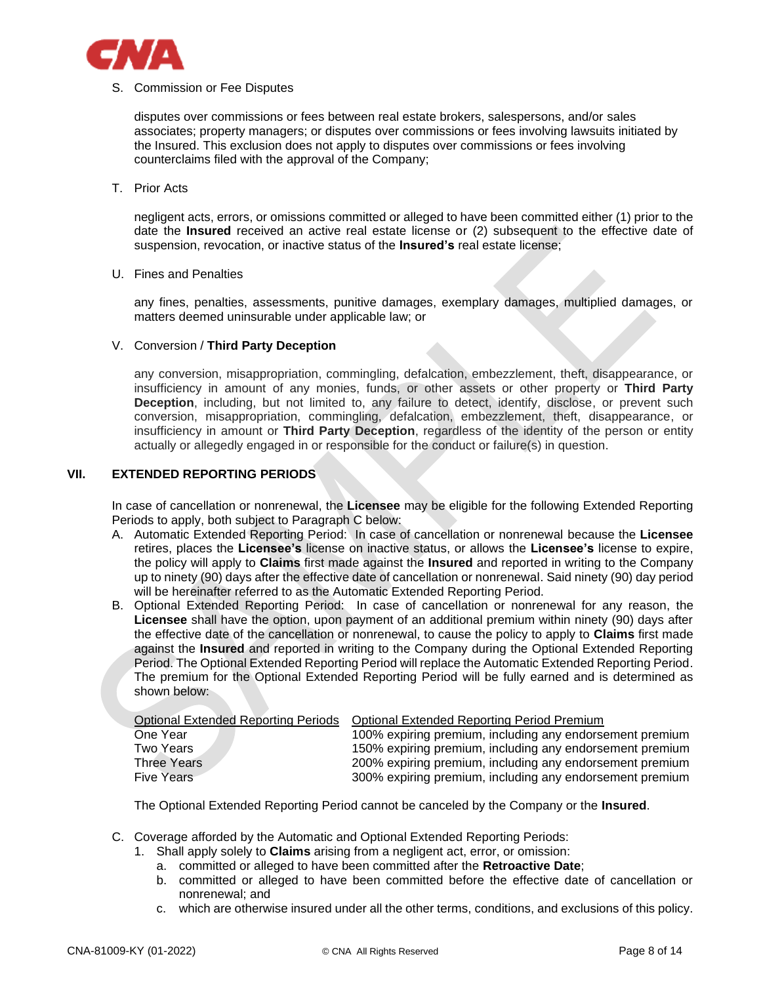

### S. Commission or Fee Disputes

disputes over commissions or fees between real estate brokers, salespersons, and/or sales associates; property managers; or disputes over commissions or fees involving lawsuits initiated by the Insured. This exclusion does not apply to disputes over commissions or fees involving counterclaims filed with the approval of the Company;

T. Prior Acts

negligent acts, errors, or omissions committed or alleged to have been committed either (1) prior to the date the **Insured** received an active real estate license or (2) subsequent to the effective date of suspension, revocation, or inactive status of the **Insured's** real estate license;

# U. Fines and Penalties

any fines, penalties, assessments, punitive damages, exemplary damages, multiplied damages, or matters deemed uninsurable under applicable law; or

#### V. Conversion / **Third Party Deception**

any conversion, misappropriation, commingling, defalcation, embezzlement, theft, disappearance, or insufficiency in amount of any monies, funds, or other assets or other property or **Third Party Deception**, including, but not limited to, any failure to detect, identify, disclose, or prevent such conversion, misappropriation, commingling, defalcation, embezzlement, theft, disappearance, or insufficiency in amount or **Third Party Deception**, regardless of the identity of the person or entity actually or allegedly engaged in or responsible for the conduct or failure(s) in question.

# **VII. EXTENDED REPORTING PERIODS**

In case of cancellation or nonrenewal, the **Licensee** may be eligible for the following Extended Reporting Periods to apply, both subject to Paragraph C below:

- A. Automatic Extended Reporting Period: In case of cancellation or nonrenewal because the **Licensee** retires, places the **Licensee's** license on inactive status, or allows the **Licensee's** license to expire, the policy will apply to **Claims** first made against the **Insured** and reported in writing to the Company up to ninety (90) days after the effective date of cancellation or nonrenewal. Said ninety (90) day period will be hereinafter referred to as the Automatic Extended Reporting Period.
- B. Optional Extended Reporting Period: In case of cancellation or nonrenewal for any reason, the **Licensee** shall have the option, upon payment of an additional premium within ninety (90) days after the effective date of the cancellation or nonrenewal, to cause the policy to apply to **Claims** first made against the **Insured** and reported in writing to the Company during the Optional Extended Reporting Period. The Optional Extended Reporting Period will replace the Automatic Extended Reporting Period. The premium for the Optional Extended Reporting Period will be fully earned and is determined as shown below:

| <b>Optional Extended Reporting Periods</b> | <b>Optional Extended Reporting Period Premium</b>        |
|--------------------------------------------|----------------------------------------------------------|
| One Year                                   | 100% expiring premium, including any endorsement premium |
| Two Years                                  | 150% expiring premium, including any endorsement premium |
| <b>Three Years</b>                         | 200% expiring premium, including any endorsement premium |
| Five Years                                 | 300% expiring premium, including any endorsement premium |

The Optional Extended Reporting Period cannot be canceled by the Company or the **Insured**.

- C. Coverage afforded by the Automatic and Optional Extended Reporting Periods:
	- 1. Shall apply solely to **Claims** arising from a negligent act, error, or omission:
		- a. committed or alleged to have been committed after the **Retroactive Date**;
		- b. committed or alleged to have been committed before the effective date of cancellation or nonrenewal; and
		- c. which are otherwise insured under all the other terms, conditions, and exclusions of this policy.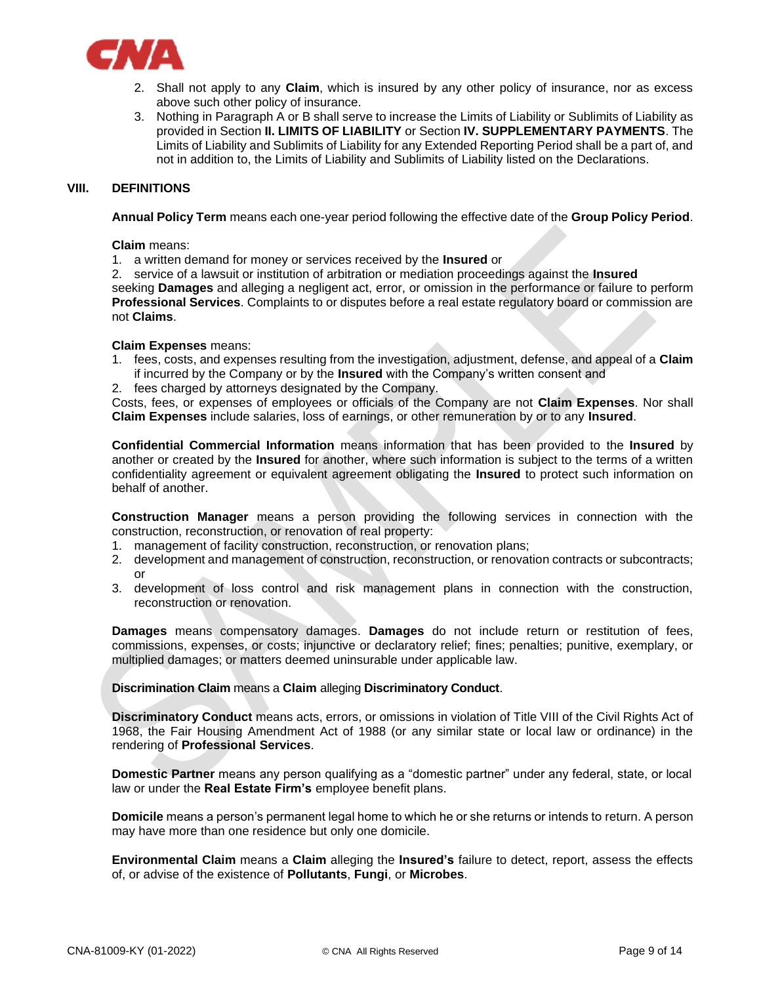

- 2. Shall not apply to any **Claim**, which is insured by any other policy of insurance, nor as excess above such other policy of insurance.
- 3. Nothing in Paragraph A or B shall serve to increase the Limits of Liability or Sublimits of Liability as provided in Section **II. LIMITS OF LIABILITY** or Section **IV. SUPPLEMENTARY PAYMENTS**. The Limits of Liability and Sublimits of Liability for any Extended Reporting Period shall be a part of, and not in addition to, the Limits of Liability and Sublimits of Liability listed on the Declarations.

#### **VIII. DEFINITIONS**

**Annual Policy Term** means each one-year period following the effective date of the **Group Policy Period**.

**Claim** means:

1. a written demand for money or services received by the **Insured** or

2. service of a lawsuit or institution of arbitration or mediation proceedings against the **Insured** seeking **Damages** and alleging a negligent act, error, or omission in the performance or failure to perform **Professional Services**. Complaints to or disputes before a real estate regulatory board or commission are not **Claims**.

#### **Claim Expenses** means:

- 1. fees, costs, and expenses resulting from the investigation, adjustment, defense, and appeal of a **Claim**  if incurred by the Company or by the **Insured** with the Company's written consent and
- 2. fees charged by attorneys designated by the Company.

Costs, fees, or expenses of employees or officials of the Company are not **Claim Expenses**. Nor shall **Claim Expenses** include salaries, loss of earnings, or other remuneration by or to any **Insured**.

**Confidential Commercial Information** means information that has been provided to the **Insured** by another or created by the **Insured** for another, where such information is subject to the terms of a written confidentiality agreement or equivalent agreement obligating the **Insured** to protect such information on behalf of another.

**Construction Manager** means a person providing the following services in connection with the construction, reconstruction, or renovation of real property:

- 1. management of facility construction, reconstruction, or renovation plans;
- 2. development and management of construction, reconstruction, or renovation contracts or subcontracts; or
- 3. development of loss control and risk management plans in connection with the construction, reconstruction or renovation.

**Damages** means compensatory damages. **Damages** do not include return or restitution of fees, commissions, expenses, or costs; injunctive or declaratory relief; fines; penalties; punitive, exemplary, or multiplied damages; or matters deemed uninsurable under applicable law.

**Discrimination Claim** means a **Claim** alleging **Discriminatory Conduct**.

**Discriminatory Conduct** means acts, errors, or omissions in violation of Title VIII of the Civil Rights Act of 1968, the Fair Housing Amendment Act of 1988 (or any similar state or local law or ordinance) in the rendering of **Professional Services**.

**Domestic Partner** means any person qualifying as a "domestic partner" under any federal, state, or local law or under the **Real Estate Firm's** employee benefit plans.

**Domicile** means a person's permanent legal home to which he or she returns or intends to return. A person may have more than one residence but only one domicile.

**Environmental Claim** means a **Claim** alleging the **Insured's** failure to detect, report, assess the effects of, or advise of the existence of **Pollutants**, **Fungi**, or **Microbes**.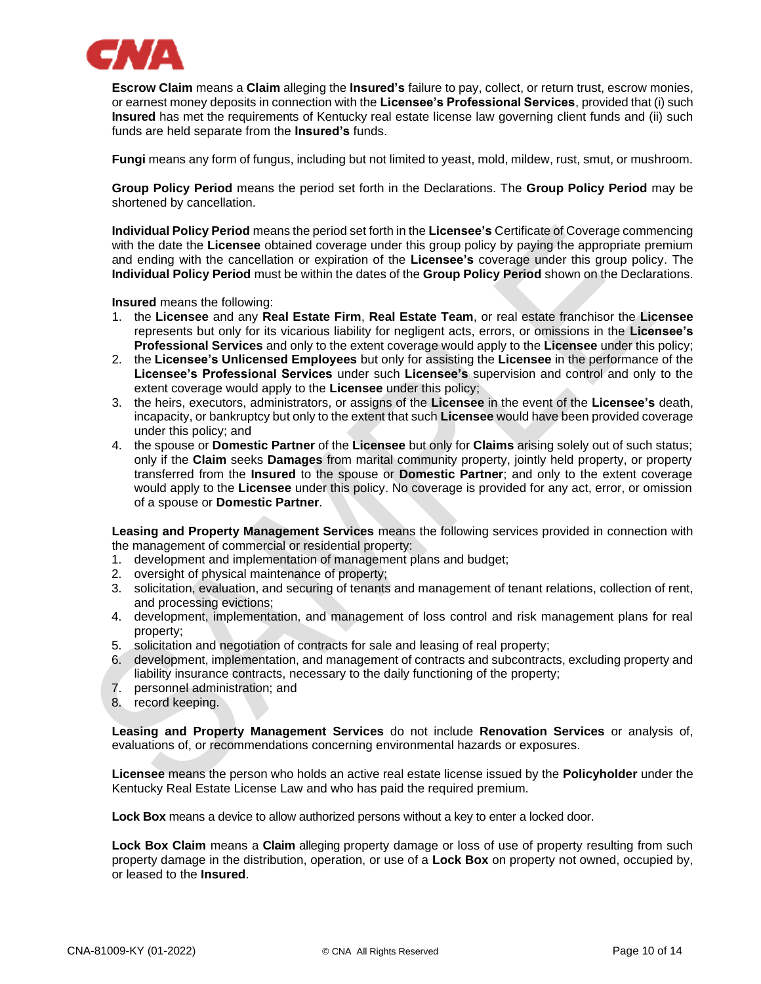

**Escrow Claim** means a **Claim** alleging the **Insured's** failure to pay, collect, or return trust, escrow monies, or earnest money deposits in connection with the **Licensee's Professional Services**, provided that (i) such **Insured** has met the requirements of Kentucky real estate license law governing client funds and (ii) such funds are held separate from the **Insured's** funds.

**Fungi** means any form of fungus, including but not limited to yeast, mold, mildew, rust, smut, or mushroom.

**Group Policy Period** means the period set forth in the Declarations. The **Group Policy Period** may be shortened by cancellation.

**Individual Policy Period** means the period set forth in the **Licensee's** Certificate of Coverage commencing with the date the **Licensee** obtained coverage under this group policy by paying the appropriate premium and ending with the cancellation or expiration of the **Licensee's** coverage under this group policy. The **Individual Policy Period** must be within the dates of the **Group Policy Period** shown on the Declarations.

**Insured** means the following:

- 1. the **Licensee** and any **Real Estate Firm**, **Real Estate Team**, or real estate franchisor the **Licensee** represents but only for its vicarious liability for negligent acts, errors, or omissions in the **Licensee's Professional Services** and only to the extent coverage would apply to the **Licensee** under this policy;
- 2. the **Licensee's Unlicensed Employees** but only for assisting the **Licensee** in the performance of the **Licensee's Professional Services** under such **Licensee's** supervision and control and only to the extent coverage would apply to the **Licensee** under this policy;
- 3. the heirs, executors, administrators, or assigns of the **Licensee** in the event of the **Licensee's** death, incapacity, or bankruptcy but only to the extent that such **Licensee** would have been provided coverage under this policy; and
- 4. the spouse or **Domestic Partner** of the **Licensee** but only for **Claims** arising solely out of such status; only if the **Claim** seeks **Damages** from marital community property, jointly held property, or property transferred from the **Insured** to the spouse or **Domestic Partner**; and only to the extent coverage would apply to the **Licensee** under this policy. No coverage is provided for any act, error, or omission of a spouse or **Domestic Partner**.

**Leasing and Property Management Services** means the following services provided in connection with the management of commercial or residential property:

- 1. development and implementation of management plans and budget;
- 2. oversight of physical maintenance of property;
- 3. solicitation, evaluation, and securing of tenants and management of tenant relations, collection of rent, and processing evictions;
- 4. development, implementation, and management of loss control and risk management plans for real property;
- 5. solicitation and negotiation of contracts for sale and leasing of real property;
- 6. development, implementation, and management of contracts and subcontracts, excluding property and liability insurance contracts, necessary to the daily functioning of the property;
- 7. personnel administration; and
- 8. record keeping.

**Leasing and Property Management Services** do not include **Renovation Services** or analysis of, evaluations of, or recommendations concerning environmental hazards or exposures.

**Licensee** means the person who holds an active real estate license issued by the **Policyholder** under the Kentucky Real Estate License Law and who has paid the required premium.

**Lock Box** means a device to allow authorized persons without a key to enter a locked door.

**Lock Box Claim** means a **Claim** alleging property damage or loss of use of property resulting from such property damage in the distribution, operation, or use of a **Lock Box** on property not owned, occupied by, or leased to the **Insured**.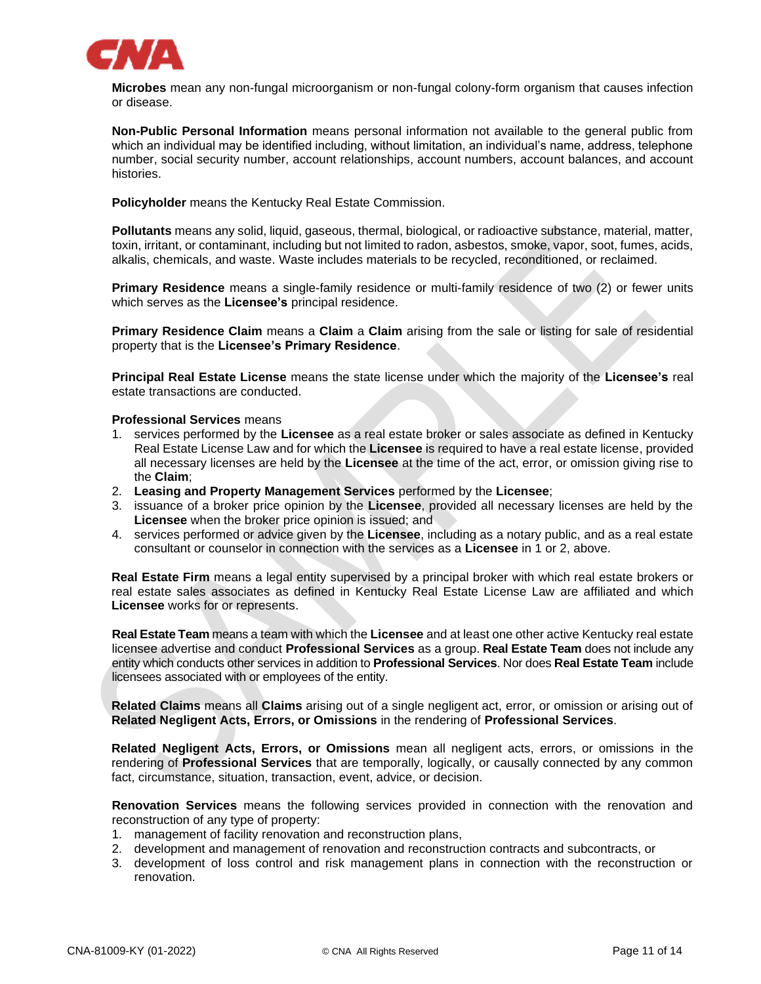

**Microbes** mean any non-fungal microorganism or non-fungal colony-form organism that causes infection or disease.

**Non-Public Personal Information** means personal information not available to the general public from which an individual may be identified including, without limitation, an individual's name, address, telephone number, social security number, account relationships, account numbers, account balances, and account histories.

**Policyholder** means the Kentucky Real Estate Commission.

**Pollutants** means any solid, liquid, gaseous, thermal, biological, or radioactive substance, material, matter, toxin, irritant, or contaminant, including but not limited to radon, asbestos, smoke, vapor, soot, fumes, acids, alkalis, chemicals, and waste. Waste includes materials to be recycled, reconditioned, or reclaimed.

**Primary Residence** means a single-family residence or multi-family residence of two (2) or fewer units which serves as the **Licensee's** principal residence.

**Primary Residence Claim** means a **Claim** a **Claim** arising from the sale or listing for sale of residential property that is the **Licensee's Primary Residence**.

**Principal Real Estate License** means the state license under which the majority of the **Licensee's** real estate transactions are conducted.

#### **Professional Services** means

- 1. services performed by the **Licensee** as a real estate broker or sales associate as defined in Kentucky Real Estate License Law and for which the **Licensee** is required to have a real estate license, provided all necessary licenses are held by the **Licensee** at the time of the act, error, or omission giving rise to the **Claim**;
- 2. **Leasing and Property Management Services** performed by the **Licensee**;
- 3. issuance of a broker price opinion by the **Licensee**, provided all necessary licenses are held by the **Licensee** when the broker price opinion is issued; and
- 4. services performed or advice given by the **Licensee**, including as a notary public, and as a real estate consultant or counselor in connection with the services as a **Licensee** in 1 or 2, above.

**Real Estate Firm** means a legal entity supervised by a principal broker with which real estate brokers or real estate sales associates as defined in Kentucky Real Estate License Law are affiliated and which **Licensee** works for or represents.

**Real Estate Team** means a team with which the **Licensee** and at least one other active Kentucky real estate licensee advertise and conduct **Professional Services** as a group. **Real Estate Team** does not include any entity which conducts other services in addition to **Professional Services**. Nor does **Real Estate Team** include licensees associated with or employees of the entity.

**Related Claims** means all **Claims** arising out of a single negligent act, error, or omission or arising out of **Related Negligent Acts, Errors, or Omissions** in the rendering of **Professional Services**.

**Related Negligent Acts, Errors, or Omissions** mean all negligent acts, errors, or omissions in the rendering of **Professional Services** that are temporally, logically, or causally connected by any common fact, circumstance, situation, transaction, event, advice, or decision.

**Renovation Services** means the following services provided in connection with the renovation and reconstruction of any type of property:

- 1. management of facility renovation and reconstruction plans,
- 2. development and management of renovation and reconstruction contracts and subcontracts, or
- 3. development of loss control and risk management plans in connection with the reconstruction or renovation.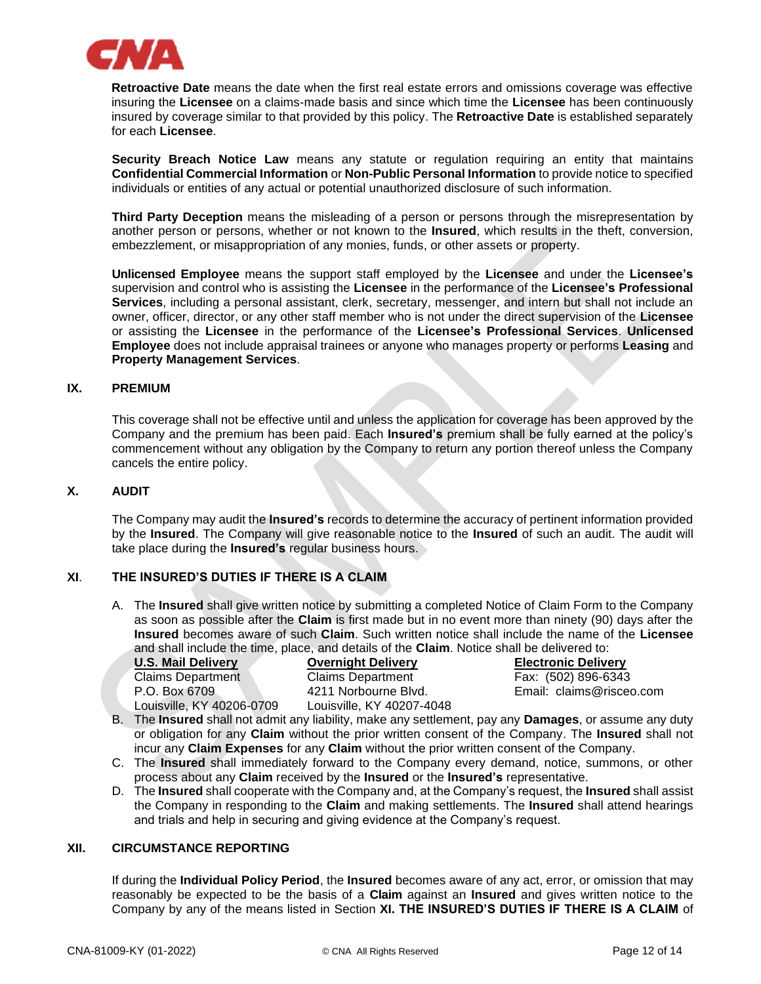

**Retroactive Date** means the date when the first real estate errors and omissions coverage was effective insuring the **Licensee** on a claims-made basis and since which time the **Licensee** has been continuously insured by coverage similar to that provided by this policy. The **Retroactive Date** is established separately for each **Licensee**.

**Security Breach Notice Law** means any statute or regulation requiring an entity that maintains **Confidential Commercial Information** or **Non-Public Personal Information** to provide notice to specified individuals or entities of any actual or potential unauthorized disclosure of such information.

**Third Party Deception** means the misleading of a person or persons through the misrepresentation by another person or persons, whether or not known to the **Insured**, which results in the theft, conversion, embezzlement, or misappropriation of any monies, funds, or other assets or property.

**Unlicensed Employee** means the support staff employed by the **Licensee** and under the **Licensee's** supervision and control who is assisting the **Licensee** in the performance of the **Licensee's Professional Services**, including a personal assistant, clerk, secretary, messenger, and intern but shall not include an owner, officer, director, or any other staff member who is not under the direct supervision of the **Licensee** or assisting the **Licensee** in the performance of the **Licensee's Professional Services**. **Unlicensed Employee** does not include appraisal trainees or anyone who manages property or performs **Leasing** and **Property Management Services**.

#### **IX. PREMIUM**

This coverage shall not be effective until and unless the application for coverage has been approved by the Company and the premium has been paid. Each **Insured's** premium shall be fully earned at the policy's commencement without any obligation by the Company to return any portion thereof unless the Company cancels the entire policy.

#### **X. AUDIT**

The Company may audit the **Insured's** records to determine the accuracy of pertinent information provided by the **Insured**. The Company will give reasonable notice to the **Insured** of such an audit. The audit will take place during the **Insured's** regular business hours.

## **XI**. **THE INSURED'S DUTIES IF THERE IS A CLAIM**

A. The **Insured** shall give written notice by submitting a completed Notice of Claim Form to the Company as soon as possible after the **Claim** is first made but in no event more than ninety (90) days after the **Insured** becomes aware of such **Claim**. Such written notice shall include the name of the **Licensee** and shall include the time, place, and details of the **Claim**. Notice shall be delivered to:

| and allow allows the milk block of and actains of the within the second client as a sented and |                           |                            |
|------------------------------------------------------------------------------------------------|---------------------------|----------------------------|
| <b>U.S. Mail Delivery</b>                                                                      | <b>Overnight Delivery</b> | <b>Electronic Delivery</b> |
| <b>Claims Department</b>                                                                       | <b>Claims Department</b>  | Fax: (502) 896-6343        |
| P.O. Box 6709                                                                                  | 4211 Norbourne Blvd.      | Email: claims@risceo.com   |
| Louisville, KY 40206-0709                                                                      | Louisville, KY 40207-4048 |                            |

- B. The **Insured** shall not admit any liability, make any settlement, pay any **Damages**, or assume any duty or obligation for any **Claim** without the prior written consent of the Company. The **Insured** shall not incur any **Claim Expenses** for any **Claim** without the prior written consent of the Company.
- C. The **Insured** shall immediately forward to the Company every demand, notice, summons, or other process about any **Claim** received by the **Insured** or the **Insured's** representative.
- D. The **Insured** shall cooperate with the Company and, at the Company's request, the **Insured** shall assist the Company in responding to the **Claim** and making settlements. The **Insured** shall attend hearings and trials and help in securing and giving evidence at the Company's request.

# **XII. CIRCUMSTANCE REPORTING**

If during the **Individual Policy Period**, the **Insured** becomes aware of any act, error, or omission that may reasonably be expected to be the basis of a **Claim** against an **Insured** and gives written notice to the Company by any of the means listed in Section **XI. THE INSURED'S DUTIES IF THERE IS A CLAIM** of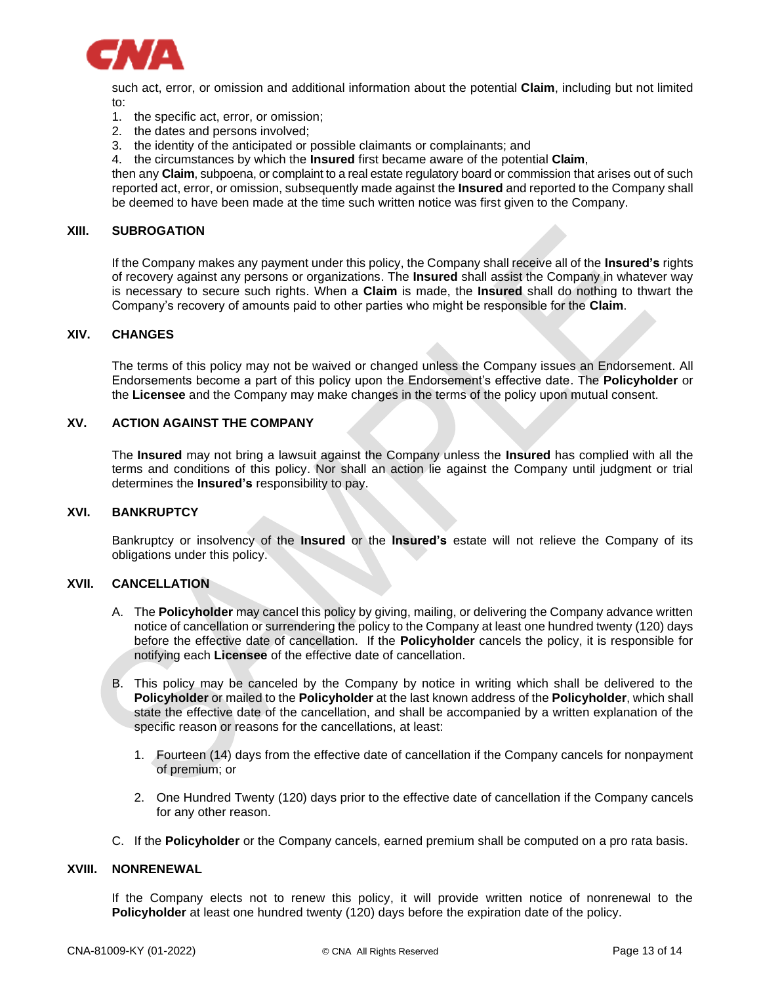

such act, error, or omission and additional information about the potential **Claim**, including but not limited to:

- 1. the specific act, error, or omission;
- 2. the dates and persons involved;
- 3. the identity of the anticipated or possible claimants or complainants; and

4. the circumstances by which the **Insured** first became aware of the potential **Claim**,

then any **Claim**, subpoena, or complaint to a real estate regulatory board or commission that arises out of such reported act, error, or omission, subsequently made against the **Insured** and reported to the Company shall be deemed to have been made at the time such written notice was first given to the Company.

# **XIII. SUBROGATION**

If the Company makes any payment under this policy, the Company shall receive all of the **Insured's** rights of recovery against any persons or organizations. The **Insured** shall assist the Company in whatever way is necessary to secure such rights. When a **Claim** is made, the **Insured** shall do nothing to thwart the Company's recovery of amounts paid to other parties who might be responsible for the **Claim**.

# **XIV. CHANGES**

The terms of this policy may not be waived or changed unless the Company issues an Endorsement. All Endorsements become a part of this policy upon the Endorsement's effective date. The **Policyholder** or the **Licensee** and the Company may make changes in the terms of the policy upon mutual consent.

#### **XV. ACTION AGAINST THE COMPANY**

The **Insured** may not bring a lawsuit against the Company unless the **Insured** has complied with all the terms and conditions of this policy. Nor shall an action lie against the Company until judgment or trial determines the **Insured's** responsibility to pay.

#### **XVI. BANKRUPTCY**

Bankruptcy or insolvency of the **Insured** or the **Insured's** estate will not relieve the Company of its obligations under this policy.

#### **XVII. CANCELLATION**

- A. The **Policyholder** may cancel this policy by giving, mailing, or delivering the Company advance written notice of cancellation or surrendering the policy to the Company at least one hundred twenty (120) days before the effective date of cancellation. If the **Policyholder** cancels the policy, it is responsible for notifying each **Licensee** of the effective date of cancellation.
- B. This policy may be canceled by the Company by notice in writing which shall be delivered to the **Policyholder** or mailed to the **Policyholder** at the last known address of the **Policyholder**, which shall state the effective date of the cancellation, and shall be accompanied by a written explanation of the specific reason or reasons for the cancellations, at least:
	- 1. Fourteen (14) days from the effective date of cancellation if the Company cancels for nonpayment of premium; or
	- 2. One Hundred Twenty (120) days prior to the effective date of cancellation if the Company cancels for any other reason.
- C. If the **Policyholder** or the Company cancels, earned premium shall be computed on a pro rata basis.

#### **XVIII. NONRENEWAL**

If the Company elects not to renew this policy, it will provide written notice of nonrenewal to the **Policyholder** at least one hundred twenty (120) days before the expiration date of the policy.